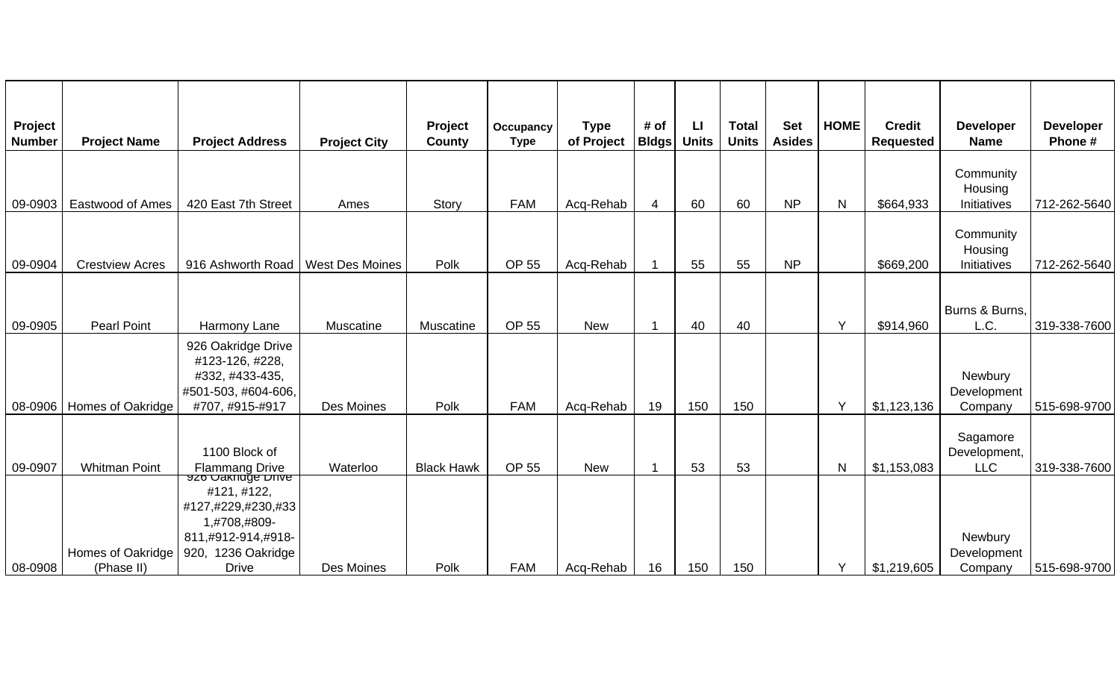| Project<br><b>Number</b> | <b>Project Name</b>         | <b>Project Address</b>                                                                                                     | <b>Project City</b>    | Project<br>County | Occupancy<br><b>Type</b> | <b>Type</b><br>of Project | # of<br><b>Bldgs</b> | $\mathsf{L}$<br><b>Units</b> | <b>Total</b><br><b>Units</b> | <b>Set</b><br><b>Asides</b> | <b>HOME</b>  | <b>Credit</b><br><b>Requested</b> | <b>Developer</b><br><b>Name</b>        | <b>Developer</b><br>Phone# |
|--------------------------|-----------------------------|----------------------------------------------------------------------------------------------------------------------------|------------------------|-------------------|--------------------------|---------------------------|----------------------|------------------------------|------------------------------|-----------------------------|--------------|-----------------------------------|----------------------------------------|----------------------------|
| 09-0903                  | <b>Eastwood of Ames</b>     | 420 East 7th Street                                                                                                        | Ames                   | Story             | <b>FAM</b>               | Acq-Rehab                 | 4                    | 60                           | 60                           | <b>NP</b>                   | $\mathsf{N}$ | \$664,933                         | Community<br>Housing<br>Initiatives    | 712-262-5640               |
| 09-0904                  | <b>Crestview Acres</b>      | 916 Ashworth Road                                                                                                          | <b>West Des Moines</b> | Polk              | <b>OP 55</b>             | Acq-Rehab                 |                      | 55                           | 55                           | <b>NP</b>                   |              | \$669,200                         | Community<br>Housing<br>Initiatives    | 712-262-5640               |
| 09-0905                  | <b>Pearl Point</b>          | Harmony Lane                                                                                                               | Muscatine              | Muscatine         | <b>OP 55</b>             | <b>New</b>                |                      | 40                           | 40                           |                             | Y            | \$914,960                         | Burns & Burns,<br>L.C.                 | 319-338-7600               |
|                          | 08-0906   Homes of Oakridge | 926 Oakridge Drive<br>#123-126, #228,<br>#332, #433-435,<br>#501-503, #604-606,<br>#707, #915-#917                         | Des Moines             | Polk              | <b>FAM</b>               | Acq-Rehab                 | 19                   | 150                          | 150                          |                             | Y            | \$1,123,136                       | Newbury<br>Development<br>Company      | 515-698-9700               |
| 09-0907                  | <b>Whitman Point</b>        | 1100 Block of<br><b>Flammang Drive</b>                                                                                     | Waterloo               | <b>Black Hawk</b> | <b>OP 55</b>             | <b>New</b>                |                      | 53                           | 53                           |                             | $\mathsf{N}$ | \$1,153,083                       | Sagamore<br>Development,<br><b>LLC</b> | 319-338-7600               |
|                          | Homes of Oakridge           | <u>926 Oakridge Drive</u><br>#121, #122,<br>#127,#229,#230,#33<br>1,#708,#809-<br>811,#912-914,#918-<br>920, 1236 Oakridge |                        |                   |                          |                           |                      |                              |                              |                             |              |                                   | Newbury<br>Development                 |                            |
| 08-0908                  | (Phase II)                  | <b>Drive</b>                                                                                                               | Des Moines             | Polk              | <b>FAM</b>               | Acq-Rehab                 | 16                   | 150                          | 150                          |                             | Y            | \$1,219,605                       | Company                                | 515-698-9700               |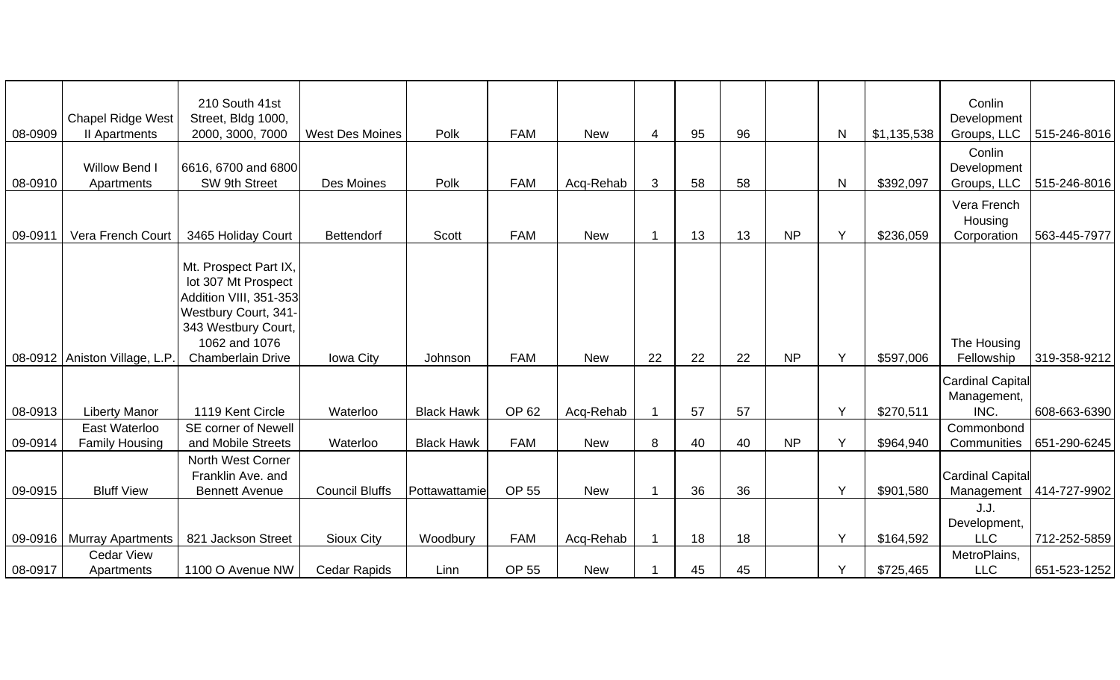| 08-0909 | <b>Chapel Ridge West</b><br>II Apartments | 210 South 41st<br>Street, Bldg 1000,<br>2000, 3000, 7000 | <b>West Des Moines</b> | Polk              | <b>FAM</b> | <b>New</b> | 4  | 95 | 96 |           | N | \$1,135,538 | Conlin<br>Development     | Groups, LLC   515-246-8016 |
|---------|-------------------------------------------|----------------------------------------------------------|------------------------|-------------------|------------|------------|----|----|----|-----------|---|-------------|---------------------------|----------------------------|
|         |                                           |                                                          |                        |                   |            |            |    |    |    |           |   |             |                           |                            |
|         | Willow Bend I                             | 6616, 6700 and 6800                                      |                        |                   |            |            |    |    |    |           |   |             | Conlin<br>Development     |                            |
| 08-0910 | Apartments                                | SW 9th Street                                            | Des Moines             | Polk              | <b>FAM</b> | Acq-Rehab  | 3  | 58 | 58 |           | N | \$392,097   | Groups, LLC               | 515-246-8016               |
|         |                                           |                                                          |                        |                   |            |            |    |    |    |           |   |             | Vera French               |                            |
|         |                                           |                                                          |                        |                   |            |            |    |    |    |           |   |             | Housing                   |                            |
| 09-0911 | Vera French Court                         | 3465 Holiday Court                                       | Bettendorf             | Scott             | <b>FAM</b> | <b>New</b> |    | 13 | 13 | <b>NP</b> | Y | \$236,059   | Corporation               | 563-445-7977               |
|         |                                           |                                                          |                        |                   |            |            |    |    |    |           |   |             |                           |                            |
|         |                                           | Mt. Prospect Part IX,                                    |                        |                   |            |            |    |    |    |           |   |             |                           |                            |
|         |                                           | lot 307 Mt Prospect                                      |                        |                   |            |            |    |    |    |           |   |             |                           |                            |
|         |                                           | Addition VIII, 351-353                                   |                        |                   |            |            |    |    |    |           |   |             |                           |                            |
|         |                                           | Westbury Court, 341-                                     |                        |                   |            |            |    |    |    |           |   |             |                           |                            |
|         |                                           | 343 Westbury Court,<br>1062 and 1076                     |                        |                   |            |            |    |    |    |           |   |             | The Housing               |                            |
|         | 08-0912   Aniston Village, L.P.           | <b>Chamberlain Drive</b>                                 | Iowa City              | Johnson           | <b>FAM</b> | <b>New</b> | 22 | 22 | 22 | <b>NP</b> | Y | \$597,006   | Fellowship                | 319-358-9212               |
|         |                                           |                                                          |                        |                   |            |            |    |    |    |           |   |             |                           |                            |
|         |                                           |                                                          |                        |                   |            |            |    |    |    |           |   |             | <b>Cardinal Capital</b>   |                            |
|         |                                           | 1119 Kent Circle                                         | Waterloo               | <b>Black Hawk</b> | OP 62      |            |    | 57 | 57 |           | Y |             | Management,<br>INC.       | 608-663-6390               |
| 08-0913 | <b>Liberty Manor</b><br>East Waterloo     | <b>SE corner of Newell</b>                               |                        |                   |            | Acq-Rehab  |    |    |    |           |   | \$270,511   | Commonbond                |                            |
| 09-0914 | <b>Family Housing</b>                     | and Mobile Streets                                       | Waterloo               | <b>Black Hawk</b> | <b>FAM</b> | <b>New</b> | 8  | 40 | 40 | <b>NP</b> | Y | \$964,940   | Communities               | 651-290-6245               |
|         |                                           | North West Corner                                        |                        |                   |            |            |    |    |    |           |   |             |                           |                            |
|         |                                           | Franklin Ave. and                                        |                        |                   |            |            |    |    |    |           |   |             | <b>Cardinal Capital</b>   |                            |
| 09-0915 | <b>Bluff View</b>                         | <b>Bennett Avenue</b>                                    | <b>Council Bluffs</b>  | Pottawattamie     | OP 55      | <b>New</b> |    | 36 | 36 |           | Y | \$901,580   | Management   414-727-9902 |                            |
|         |                                           |                                                          |                        |                   |            |            |    |    |    |           |   |             | J.J.                      |                            |
|         |                                           |                                                          |                        |                   |            |            |    |    |    |           |   |             | Development,              |                            |
|         | 09-0916   Murray Apartments               | 821 Jackson Street                                       | <b>Sioux City</b>      | Woodbury          | <b>FAM</b> | Acq-Rehab  |    | 18 | 18 |           | Y | \$164,592   | <b>LLC</b>                | 712-252-5859               |
|         | <b>Cedar View</b>                         |                                                          |                        |                   |            |            |    |    |    |           |   |             | MetroPlains,              |                            |
| 08-0917 | Apartments                                | 1100 O Avenue NW                                         | <b>Cedar Rapids</b>    | Linn              | OP 55      | <b>New</b> |    | 45 | 45 |           | Υ | \$725,465   | <b>LLC</b>                | 651-523-1252               |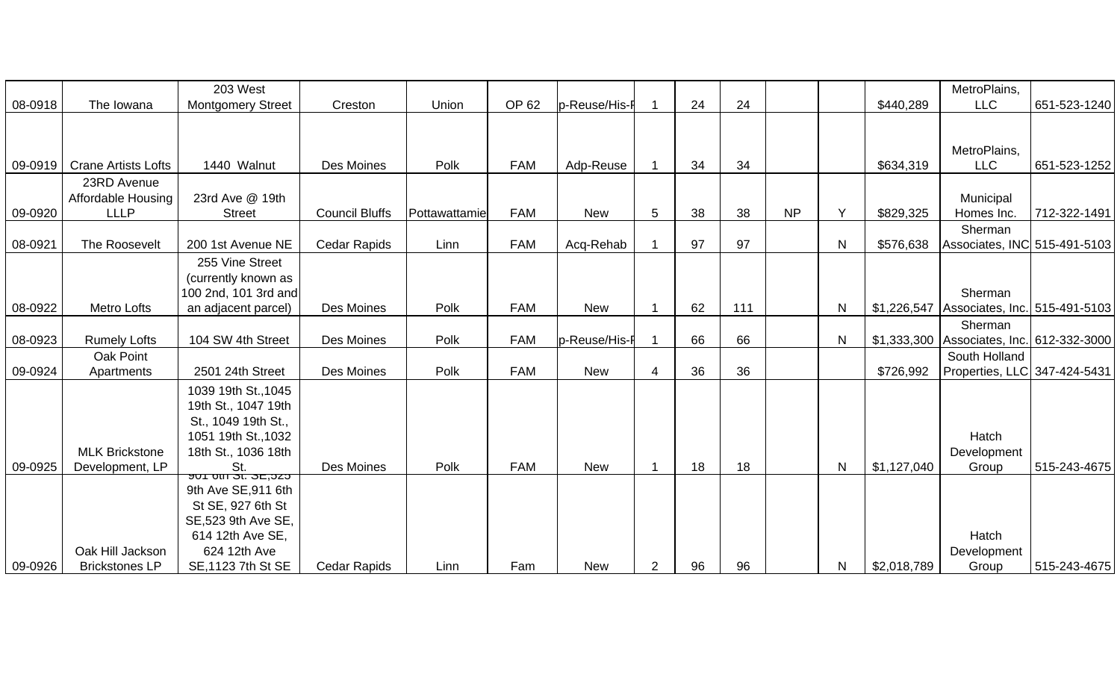|         |                            | 203 West                                           |                       |               |            |               |   |    |     |           |              |             | MetroPlains,                                |              |
|---------|----------------------------|----------------------------------------------------|-----------------------|---------------|------------|---------------|---|----|-----|-----------|--------------|-------------|---------------------------------------------|--------------|
| 08-0918 | The Iowana                 | <b>Montgomery Street</b>                           | Creston               | Union         | OP 62      | p-Reuse/His-I |   | 24 | 24  |           |              | \$440,289   | <b>LLC</b>                                  | 651-523-1240 |
|         |                            |                                                    |                       |               |            |               |   |    |     |           |              |             |                                             |              |
|         |                            |                                                    |                       |               |            |               |   |    |     |           |              |             |                                             |              |
|         |                            |                                                    |                       |               |            |               |   |    |     |           |              |             | MetroPlains,                                |              |
| 09-0919 | <b>Crane Artists Lofts</b> | 1440 Walnut                                        | Des Moines            | Polk          | <b>FAM</b> | Adp-Reuse     |   | 34 | 34  |           |              | \$634,319   | <b>LLC</b>                                  | 651-523-1252 |
|         | 23RD Avenue                |                                                    |                       |               |            |               |   |    |     |           |              |             |                                             |              |
|         | <b>Affordable Housing</b>  | 23rd Ave @ 19th                                    |                       |               |            |               |   |    |     |           |              |             | Municipal                                   |              |
| 09-0920 | <b>LLLP</b>                | <b>Street</b>                                      | <b>Council Bluffs</b> | Pottawattamie | <b>FAM</b> | <b>New</b>    | 5 | 38 | 38  | <b>NP</b> | Y            | \$829,325   | Homes Inc.                                  | 712-322-1491 |
|         |                            |                                                    |                       |               |            |               |   |    |     |           |              |             | Sherman                                     |              |
| 08-0921 | The Roosevelt              | 200 1st Avenue NE                                  | Cedar Rapids          | Linn          | <b>FAM</b> | Acq-Rehab     |   | 97 | 97  |           | $\mathsf{N}$ | \$576,638   | Associates, INC 515-491-5103                |              |
|         |                            | 255 Vine Street                                    |                       |               |            |               |   |    |     |           |              |             |                                             |              |
|         |                            | (currently known as                                |                       |               |            |               |   |    |     |           |              |             |                                             |              |
|         |                            | 100 2nd, 101 3rd and                               |                       |               |            |               |   |    |     |           |              |             | Sherman                                     |              |
| 08-0922 | Metro Lofts                | an adjacent parcel)                                | Des Moines            | Polk          | <b>FAM</b> | <b>New</b>    |   | 62 | 111 |           | $\mathsf{N}$ |             | \$1,226,547   Associates, Inc. 515-491-5103 |              |
|         |                            |                                                    |                       |               |            |               |   |    |     |           |              |             | Sherman                                     |              |
| 08-0923 | <b>Rumely Lofts</b>        | 104 SW 4th Street                                  | Des Moines            | Polk          | <b>FAM</b> | p-Reuse/His-I |   | 66 | 66  |           | $\mathsf{N}$ |             | \$1,333,300 Associates, Inc. 612-332-3000   |              |
|         | Oak Point                  |                                                    |                       |               |            |               |   |    |     |           |              |             | South Holland                               |              |
| 09-0924 | Apartments                 | 2501 24th Street                                   | Des Moines            | Polk          | <b>FAM</b> | <b>New</b>    |   | 36 | 36  |           |              | \$726,992   | Properties, LLC 347-424-5431                |              |
|         |                            | 1039 19th St., 1045                                |                       |               |            |               |   |    |     |           |              |             |                                             |              |
|         |                            | 19th St., 1047 19th                                |                       |               |            |               |   |    |     |           |              |             |                                             |              |
|         |                            | St., 1049 19th St.,                                |                       |               |            |               |   |    |     |           |              |             |                                             |              |
|         |                            | 1051 19th St., 1032                                |                       |               |            |               |   |    |     |           |              |             | Hatch                                       |              |
|         | <b>MLK Brickstone</b>      | 18th St., 1036 18th                                |                       |               |            |               |   |    |     |           |              |             | Development                                 |              |
| 09-0925 | Development, LP            | <mark>St.</mark><br><del>שטר טנו שני האט דטפ</del> | Des Moines            | Polk          | <b>FAM</b> | <b>New</b>    |   | 18 | 18  |           | $\mathsf{N}$ | \$1,127,040 | Group                                       | 515-243-4675 |
|         |                            |                                                    |                       |               |            |               |   |    |     |           |              |             |                                             |              |
|         |                            | 9th Ave SE, 911 6th<br>St SE, 927 6th St           |                       |               |            |               |   |    |     |           |              |             |                                             |              |
|         |                            | SE, 523 9th Ave SE,                                |                       |               |            |               |   |    |     |           |              |             |                                             |              |
|         |                            |                                                    |                       |               |            |               |   |    |     |           |              |             |                                             |              |
|         |                            |                                                    |                       |               |            |               |   |    |     |           |              |             |                                             |              |
| 09-0926 | <b>Brickstones LP</b>      | SE, 1123 7th St SE                                 | Cedar Rapids          | Linn          | Fam        | <b>New</b>    | 2 | 96 | 96  |           | $\mathsf{N}$ | \$2,018,789 | Group                                       | 515-243-4675 |
|         | Oak Hill Jackson           | 614 12th Ave SE,<br>624 12th Ave                   |                       |               |            |               |   |    |     |           |              |             | Hatch<br>Development                        |              |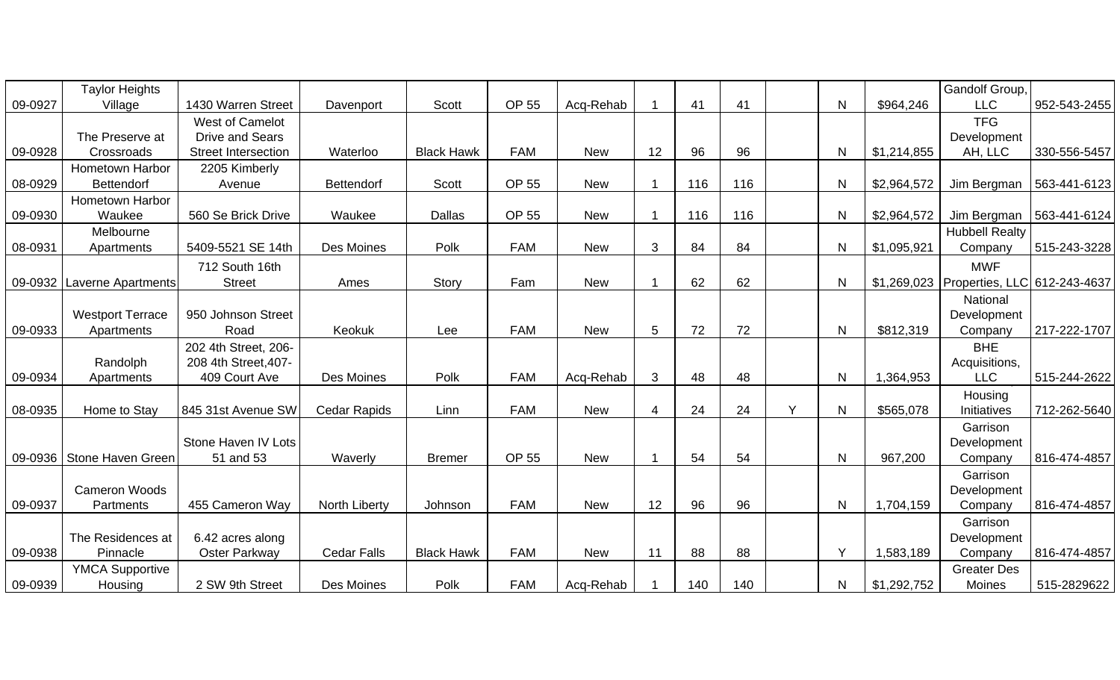|         | <b>Taylor Heights</b>     |                            |                     |                   |              |            |                        |     |     |   |              |             | Gandolf Group,                             |              |
|---------|---------------------------|----------------------------|---------------------|-------------------|--------------|------------|------------------------|-----|-----|---|--------------|-------------|--------------------------------------------|--------------|
| 09-0927 | Village                   | 1430 Warren Street         | Davenport           | Scott             | OP 55        | Acq-Rehab  |                        | 41  | 41  |   | N            | \$964,246   | <b>LLC</b>                                 | 952-543-2455 |
|         |                           | West of Camelot            |                     |                   |              |            |                        |     |     |   |              |             | <b>TFG</b>                                 |              |
|         | The Preserve at           | <b>Drive and Sears</b>     |                     |                   |              |            |                        |     |     |   |              |             | Development                                |              |
| 09-0928 | Crossroads                | <b>Street Intersection</b> | Waterloo            | <b>Black Hawk</b> | <b>FAM</b>   | <b>New</b> | 12                     | 96  | 96  |   | N            | \$1,214,855 | AH, LLC                                    | 330-556-5457 |
|         | Hometown Harbor           | 2205 Kimberly              |                     |                   |              |            |                        |     |     |   |              |             |                                            |              |
| 08-0929 | <b>Bettendorf</b>         | Avenue                     | <b>Bettendorf</b>   | Scott             | <b>OP 55</b> | <b>New</b> |                        | 116 | 116 |   | $\mathsf{N}$ | \$2,964,572 | Jim Bergman                                | 563-441-6123 |
|         | Hometown Harbor           |                            |                     |                   |              |            |                        |     |     |   |              |             |                                            |              |
| 09-0930 | Waukee                    | 560 Se Brick Drive         | Waukee              | <b>Dallas</b>     | OP 55        | <b>New</b> |                        | 116 | 116 |   | $\mathsf{N}$ | \$2,964,572 | Jim Bergman                                | 563-441-6124 |
|         | Melbourne                 |                            |                     |                   |              |            |                        |     |     |   |              |             | <b>Hubbell Realty</b>                      |              |
| 08-0931 | Apartments                | 5409-5521 SE 14th          | Des Moines          | Polk              | <b>FAM</b>   | <b>New</b> | 3                      | 84  | 84  |   | N            | \$1,095,921 | Company                                    | 515-243-3228 |
|         |                           | 712 South 16th             |                     |                   |              |            |                        |     |     |   |              |             | <b>MWF</b>                                 |              |
| 09-0932 | <b>Laverne Apartments</b> | <b>Street</b>              | Ames                | Story             | Fam          | <b>New</b> |                        | 62  | 62  |   | N            |             | \$1,269,023   Properties, LLC 612-243-4637 |              |
|         |                           |                            |                     |                   |              |            |                        |     |     |   |              |             | National                                   |              |
|         | <b>Westport Terrace</b>   | 950 Johnson Street         |                     |                   |              |            |                        |     |     |   |              |             | Development                                |              |
| 09-0933 | Apartments                | Road                       | Keokuk              | Lee               | <b>FAM</b>   | <b>New</b> | 5                      | 72  | 72  |   | N            | \$812,319   | Company                                    | 217-222-1707 |
|         |                           | 202 4th Street, 206-       |                     |                   |              |            |                        |     |     |   |              |             | <b>BHE</b>                                 |              |
|         | Randolph                  | 208 4th Street, 407-       |                     |                   |              |            |                        |     |     |   |              |             | Acquisitions,                              |              |
| 09-0934 | Apartments                | 409 Court Ave              | Des Moines          | Polk              | <b>FAM</b>   | Acq-Rehab  | 3                      | 48  | 48  |   | $\mathsf{N}$ | 1,364,953   | <b>LLC</b>                                 | 515-244-2622 |
|         |                           |                            |                     |                   |              |            |                        |     |     |   |              |             | Housing                                    |              |
| 08-0935 | Home to Stay              | 845 31st Avenue SW         | <b>Cedar Rapids</b> | Linn              | <b>FAM</b>   | <b>New</b> | $\boldsymbol{\Lambda}$ | 24  | 24  | Y | N            | \$565,078   | Initiatives                                | 712-262-5640 |
|         |                           |                            |                     |                   |              |            |                        |     |     |   |              |             | Garrison                                   |              |
|         |                           | Stone Haven IV Lots        |                     |                   |              |            |                        |     |     |   |              |             | Development                                |              |
| 09-0936 | Stone Haven Green         | 51 and 53                  | Waverly             | <b>Bremer</b>     | OP 55        | <b>New</b> |                        | 54  | 54  |   | N            | 967,200     | Company                                    | 816-474-4857 |
|         |                           |                            |                     |                   |              |            |                        |     |     |   |              |             | Garrison                                   |              |
|         | <b>Cameron Woods</b>      |                            |                     |                   |              |            |                        |     |     |   |              |             | Development                                |              |
| 09-0937 | Partments                 | 455 Cameron Way            | North Liberty       | Johnson           | <b>FAM</b>   | <b>New</b> | 12                     | 96  | 96  |   | $\mathsf{N}$ | 1,704,159   | Company                                    | 816-474-4857 |
|         |                           |                            |                     |                   |              |            |                        |     |     |   |              |             | Garrison                                   |              |
|         | The Residences at         | 6.42 acres along           |                     |                   |              |            |                        |     |     |   |              |             | Development                                |              |
| 09-0938 | Pinnacle                  | Oster Parkway              | <b>Cedar Falls</b>  | <b>Black Hawk</b> | <b>FAM</b>   | <b>New</b> | 11                     | 88  | 88  |   | Y            | 1,583,189   | Company                                    | 816-474-4857 |
|         | <b>YMCA Supportive</b>    |                            |                     |                   |              |            |                        |     |     |   |              |             | <b>Greater Des</b>                         |              |
| 09-0939 | Housing                   | 2 SW 9th Street            | Des Moines          | Polk              | <b>FAM</b>   | Acq-Rehab  |                        | 140 | 140 |   | N            | \$1,292,752 | Moines                                     | 515-2829622  |